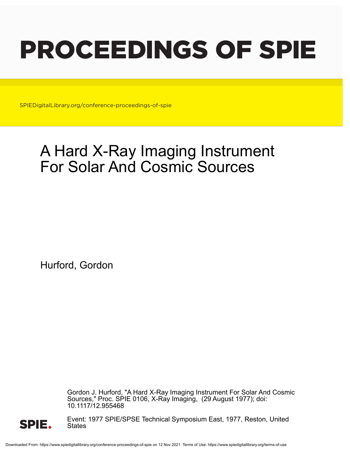# PROCEEDINGS OF SPIE

SPIEDigitalLibrary.org/conference-proceedings-of-spie

## A Hard X-Ray Imaging Instrument For Solar And Cosmic Sources

Hurford, Gordon

Gordon J. Hurford, "A Hard X-Ray Imaging Instrument For Solar And Cosmic Sources," Proc. SPIE 0106, X-Ray Imaging, (29 August 1977); doi: 10.1117/12.955468



Event: 1977 SPIE/SPSE Technical Symposium East, 1977, Reston, United **States**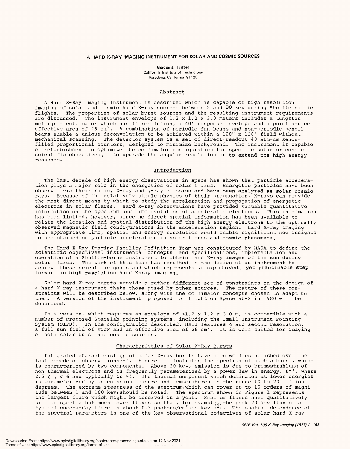#### A HARD X -RAY IMAGING INSTRUMENT FOR SOLAR AND COSMIC SOURCES **A HARD X-RAY IMAGING INSTRUMENT FOR SOLAR AND COSMIC SOURCES**

Gordon J. Hurford **Gordon J. Hurford** California Institute of Technology California Institute of Technology Pasadena, California 91125 Pasadena, California 91125

### Abstract Abstract

A Hard X-Ray Imaging Instrument is described which is capable of high resolution imaging of solar and cosmic hard X-ray sources between 2 and 80 kev during Shuttle sortie flights. The properties of solar burst sources and the resulting instrument requirements flights. The properties of solar burst sources and the resulting instrument requirements are discussed. The instrument envelope of 1.2 x 1.2 x 3.0 meters includes a tungsten are discussed. The instrument envelope of 1.2 x 1.2 x 3.0 meters includes a tungsten multigrid collimator which has 4" resolution, a 40' response envelope and a point source multigrid collimator which has 4" resolution, a 40' response envelope and a point source effective area of 26 cm $^{\prime}$ . A combination of periodic fan beans and non-periodic pencil beams enable a unique deconvolution to be achieved within a 128" x 128" field without mechanical scanning. The detector system is a set of direct-readout 40 atm-cm Xenonfilled proportional counters, designed to minimize background. The instrument is capable filled proportional counters, designed to minimize background. The instrument is capable of refurbishment to optimize the collimator configuration for specific solar or cosmic of refurbishment to optimize the collimator configuration for specific solar or cosmic scientific objectives, to upgrade the angular resolution or to extend the high energy scientific objectives, to upgrade the angular resolution or to extend the high energy response. response. effective area of 26 cm $^2$ . A combination of periodic fan beans and non-periodic pencil beams enable a unique deconvolution to be achieved within a 128" x 128" field without

#### Introduction Introduction

The last decade of high energy observations in space has shown that particle accelera-The last decade of high energy observations in space has shown that particle acceleration plays a major role in the energetics of solar flares. Energetic particles have been tion plays a major role in the energetics of solar flares. Energetic particles have been observed via their radio, X -ray and y -ray emission and have been analyzed as solar cosmic observed via their radio, X-ray and y-ray emission and have been analyzed as solar cosmic rays. Because of the relatively simple physics of their propagation, X-rays can provide the most direct means by which to study the acceleration and propagation of energetic the most direct means by which to study the acceleration and propagation of energetic electrons in solar flares. Hard X-ray observations have provided valuable quantitative information on the spectrum and time evolution of accelerated electrons. This information information on the spectrum and time evolution of accelerated electrons. This information has been limited, however, since no direct spatial information has been available to has been limited, however, since no direct spatial information has been available to relate the location and spatial distribution of the high energy electrons to the optically observed magnetic field configurations in the acceleration region. Hard X-ray imaging with appropriate time, spatial and energy resolution would enable significant new insights with appropriate time, spatial and energy resolution would enable significant new insights to be obtained on particle acceleration in solar flares and cosmic phenomena. to be obtained on particle acceleration in solar flares and cosmic phenomena.

The Hard X-Ray Imaging Facility Definition Team was constituted by NASA to define the<br>scientific objectives, instrumental concepts and specifications, implementation and operation of a Shuttle -borne instrument to obtain hard X -ray images of the sun during operation of a Shuttle-borne instrument to obtain hard X-ray images of the sun during solar flares. The work of this team has resulted in the design of an instrument to solar flares. The work of this team has resulted in the design of an instrument to achieve these scientific goals and which represents a significant, yet practicable step achieve these scientific goals and which represents a significant, yet practicable step forward in **hig**h resolution hard X-ray imaging.

Solar hard X-ray bursts provide a rather different set of constraints on the design of a hard X-ray instrument thatn those posed by other sources. The nature of these constraints will be described below, along with the collimator concepts chosen to adapt to straints will be described below, along with the collimator concepts chosen to adapt to them. A version of the instrument proposed for flight on Spacelab-2 in 1980 will be described. described.

This version, which requires an envelope of  $\mathord{\sim}1.2$  x  $1.2$  x  $3.0$  m, is compatible with a number of proposed Spacelab pointing systems, including the Small Instrument Pointing number of proposed Spacelab pointing systems, including the Small Instrument Pointing System (SIPS). In the configuration described, HXII features 4 arc second resolution, System (SIPS). In the configuration described, HXII features 4 arc second resolution, a full sun field of view and an effective area of 26  $\mathrm{cm}^2$ . It is well suited for imaging of both solar burst and cosmic sources. of both solar burst and cosmic sources.

#### Characteristics of Solar X-Ray Bursts

Integrated characteristics of solar X-ray bursts have been well established over the last decade of observations<sup>(1)</sup>. Figure 1 illustrates the spectrum of such a burst, which is characterized by two components. Above 20 kev, emission is due to bremsstrahlung of is characterized by two components. Above 20 kev, emission is due to bremsstrahlung of non-thermal electrons and is frequently parameterized by a power law in energy,  $E^{-\gamma}$ , where 2.5  $\leqslant$   $\gamma$   $\leqslant$  6 and typically is  $\mathcal{\lnot}4$ . The thermal component which dominates at lower energies is parameterized by an emission measure and temperatures in the range 10 to 20 million is parameterized by an emission measure and temperatures in the range 10 to 20 million degrees. The extreme steepness of the spectrum,which can cover up to 10 orders of magni-degrees. The extreme steepness of the spectrum, which can cover up to 10 orders of magnitude between 1 and 100 kev, should be noted. The spectrum shown in Figure 1 represents the largest flare which might be observed in a year. Smaller flares have qualitatively similar spectra but much lower fluxes so that, for example<sub>4</sub>, the peak 20 kev flux of a typical once-a-day flare is about 0.3 photons/cm<sup>2</sup>sec kev <sup>(2)</sup>. The spatial dependence of the spectral parameters is one of the key observational objectives of solar hard X-ray Integrated characteristics of solar X-ray bursts have been well established over the last decade of observations ${}^{(\mathsf{1})}.$  Figure 1 illustrates the spectrum of such a burst, which tude between 1 and 100 kev, should be noted. The spectrum shown in Figure 1 represents the largest flare which might be observed in a year. Smaller flares have qualitatively similar spectra but much lower fluxes so that, for example, the peak 20 kev flux of a<br>typical once-a-day flare is about 0.3 photons/cm<sup>2</sup>sec kev <sup>(2)</sup>. The spatial dependence of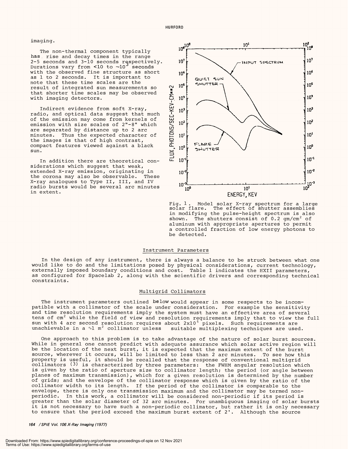#### imaging. imaging.

The non-thermal component typically has rise and decay times in the range has , rise and decay times in the range 2-5 seconds and 3-10 seconds respectively.  $10'\sharp$ Durations vary from <10 to -10 seconds Durations vary from <10 to 10 seconds with the observed fine structure as short with the observed fine structure as short as 1 to 2 seconds. It is important to as 1 to 2 seconds. It is important to note that these time scales are the note that these time scales are the result of integrated sun measurements so  $\begin{array}{cc} \text{Q} & \text{I}^{\text{u}} \end{array}$ that shorter time scales may be observed  $\qquad \overline{\bullet}$ with imaging detectors. with imaging detectors.

Indirect evidence from soft X-ray,  $\quad \xrightarrow{\mathbf{L}}$ radio, and optical data suggest that much radio, and optical data suggest that much of the emission may come from kernels of of the emission may come from kernels of emission with size scales of 2"-8" which  $\sum_{n=1}^{\infty}$  " are separated by distance up to 2 arc  $\frac{S}{S}$ minutes. Thus the expected character of  $\quad \ \ \, \mathrel{\mathop:}= \;\; 10^{1}$ the images is that of high contrast, the images is that of high contrast, compact features viewed against a black compact features viewed against a black sun.

In addition there are theoretical con-In addition there are theoretical considerations which suggest that weak, siderations which suggest that weak, extended X -ray emission, originating in extended X-ray emission, originating in the corona may also be observable. These the corona may also be observable. These X -ray analogues to Type II, III, and IV X-ray analogues to Type II, III, and IV radio bursts would be several arc minutes and i in extent. in extent.



Fig. 1. Model solar X -ray spectrum for a large solar flare. The effect of shutter assemblies Fig. 1 . Model solar X-ray spectrum for a large solar flare. The effect of shutter assemblies in modifying the pulse- height spectrum is also in modifying the pulse-height spectrum is also shown. The shutters consist of 0.2 gm/cm $^2$  of aluminum with appropriate apertures to permit a controlled fraction of low energy photons to <sup>a</sup>controlled fraction of low energy photons to be detected. be detected. shown. The shutters consist of 0.2 gm/cm $^{\prime}$  of aluminum with appropriate apertures to permit

#### Instrument Parameters Instrument Parameters

In the design of any instrument, there is always a balance to be struck between what one In the design of any instrument, there is always a balance to be struck between what one would like to do and the limitations posed by physical considerations, current technology, would like to do and the limitations posed by physical considerations, current technology, externally imposed boundary conditions and cost. Table 1 indicates the HXII parameters, externally imposed boundary conditions and cost. Table 1 indicates the HXII parameters, as configured for Spacelab 2, along with the scientific drivers and corresponding technical as configured for Spacelab 2, along with the scientific drivers and corresponding technical constraints. constraints.

#### Multigrid Collimators Multigrid Collimators

The instrument parameters outlined below would appear in some respects to be incom-The instrument parameters outlined below would appear in some respects to be incompatible with a collimator of the scale under consideration. For example the sensitivity patible with a collimator of the scale under consideration. For example the sensitivity and time resolution requirements imply the system must have an effective area of several and time resolution requirements imply the system must have an effective area of several tens of  $\mathtt{cm}^2$  while the field of view and resolution requirements imply that to view the full sun with 4 arc second resolution requires about  $2 \mathrm{x} 10^5$  pixels. Such requirements are unachievable in a  $\mathbin{\char`\^1}$  collimator unless  $\;\;$  suitable multiplexing techniques are used.

One approach to this problem is to take advantage of the nature of solar burst sources. One approach to this problem is to take advantage of the nature of solar burst sources. While in general one cannot predict with adequate assurance which solar active region will While in general one cannot predict with adequate assurance which solar active region will be the location of the next burst, it is expected that the maximum extent of the burst be the location of the next burst, it is expected that the maximum extent of the burst source, wherever it occurs, will'be limited to less than 2 arc minutes. To see how this source, wherever it occurs, will 'be limited to less than 2 arc minutes. .To see how this property is useful, it should be recalled that the response of conventional multigrid collimators  $\texttt{(3)}$  is characterized by three parameters: the FWHM angular resolution which is given by the ratio of aperture size to collimator length; the period (or angle between is given by the ratio of aperture size to collimator length; the period (or angle between planes of maximum transmission), which for a given resolution is determined by the number planes of maximum transmission) , which for a given resolution is determined by the number of grids; and the envelope of the collimator response which is given by the ratio of the collimator width to its length. If the period of the collimator is comparable to the collimator width to its length. If the period of the collimator is comparable to the envelope, there is only one transmission maximum and the collimator may be termed nonperiodic. In this work, a collimator will be considered non -periodic if its period is periodic. In this work, a collimator will be considered non-periodic if its period is greater than the solar diameter of 32 arc minutes. For unambiguous imaging of solar bursts greater than the solar diameter of 32 arc minutes. For unambiguous imaging of solar bursts it is not necessary to have such a non -periodic collimator, but rather it is only necessary it is not necessary to have such a non-periodic collimator, but rather it is only necessary to ensure that the period exceed the maximum burst extent of 2'. Although the source to ensure that the period exceed the maximum burst extent of 2 ' . Although the source property is useful, it should be recalled that the response of conventional multigrid collimators  $\left(3\right)$  is characterized by three parameters: the FWHM angular resolution which

164 /SP /E Vol 106X -Ray Imaging (1977) **164 /SPIE Vol. 106X-Ray Imaging (1977)**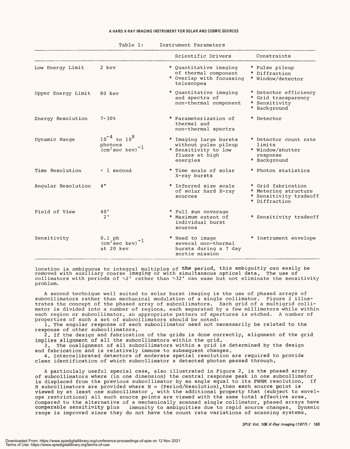#### A HARD X -RAY IMAGING INSTRUMENT FOR SOLAR AND COSMIC SOURCES **A HARD X-RAY IMAGING INSTRUMENT FOR SOLAR AND COSMIC SOURCES**

|                    |                                                                                          | Scientific Drivers                                                                                   | Constraints                                                                           |
|--------------------|------------------------------------------------------------------------------------------|------------------------------------------------------------------------------------------------------|---------------------------------------------------------------------------------------|
| Low Energy Limit   | 2 kev                                                                                    | * Quantitative imaging<br>of thermal component<br>* Overlap with focussing<br>telescopes             | * Pulse pileup<br>* Diffraction<br>* Window/detector                                  |
| Upper Energy Limit | 80 kev                                                                                   | * Quantitative imaging<br>and spectra of<br>non-thermal component                                    | * Detector efficiency<br>* Grid transparency<br>* Sensitivity<br>* Background         |
| Energy Resolution  | $7 - 30%$                                                                                | * Parameterization of<br>thermal and<br>non-thermal spectra                                          | * Detector                                                                            |
| Dynamic Range      | $10^{-4}$ to $10^{8}$<br>photons<br>$\text{(cm}^2 \text{sec} \text{ kev})$ <sup>-1</sup> | * Imaging large bursts<br>without pulse pileup<br>* Sensitivity to low<br>fluxes at high<br>energies | * Detector count rate<br>limits<br>* Window/shutter<br>response<br>* Background       |
| Time Resolution    | $\leq 1$ second                                                                          | * Time scale of solar<br>X-ray bursts                                                                | * Photon statistics                                                                   |
| Angular Resolution | 4"                                                                                       | * Inferred size scale<br>of solar hard X-ray<br>sources                                              | * Grid fabrication<br>* Metering structure<br>* Sensitivity tradeoff<br>* Diffraction |
| Field of View      | 40'<br>$2^1$                                                                             | * Full sun coverage<br>* Maximum extent of<br>individual burst<br>sources                            | * Sensitivity tradeoff                                                                |
| Sensitivity        | $0.1$ ph<br>$(cm^2 sec kev)$<br>at 20 kev                                                | * Need to image<br>several non-thermal<br>bursts during a 7 day<br>sortie mission                    | * Instrument envelope                                                                 |

location is ambiguous to integral multiples of **the** period, this ambiguitiy can easily be removed with auxiliary coarse imaging or with simultaneous optical data. The use of collimators with periods of  $\mathbin{\char`\^}2$ ' rather than  $\mathbin{\char`\^}32$ ' can ease but not eliminate the sensitivity problem. problem.

A second technique well suited to solar burst imaging is the use of phased arrays of <sup>A</sup>second technique well suited to solar burst imaging is the use of phased arrays of subcollimators rather than mechanical modulation of a single collimator. Figure 2 illus-subcollimators rather than mechanical modulation of a single collimator. Figure 2 illustrates the concept of the phased array of subcollimators. Each grid of a multigrid colli-trates the concept of the phased array of subcollimators. Each grid of a multigrid collimator is divided into a number of regions, each separated by a few millimeters while within mator is divided into a number of regions, each separated by a few millimeters while within each region or subcollimator, an appropriate pattern of apertures is etched. A number of each region or subcollimator, an appropriate pattern of apertures is etched. A number of properties of such a set of subcollimators should be noted: properties of such a set of subcollimators should be noted:

1. The angular response of each subcollimator need not necessarily be related to the 1. The angular response of each subcollimator need not necessarily be related to the response of other subcollimators. response of other subcollimators.

2. If the design and fabrication of the grids is done correctly, alignment of the grid 2. if the design and fabrication of the grids is done correctly, alignment of the grid implies alignment of all the subcollimators within the grid. implies alignment of all the subcollimators within the grid.

3. The coalignment of all subcollimators within a grid is determined by the design 3. The coalignment of all subcollimators within a grid is determined by the design and fabrication and is relatively immune to subsequent changes. and fabrication and is relatively immune to subsequent changes.

4. intercalibrated detectors of moderate spatial resolution are required to provide 4. Intercalibrated detectors of moderate spatial resolution are required to provide clean identification of which subcollimator a detected photon passed through. clean identification of which subcollimator a detected photon passed through.

A particulaly useful special case, also illustrated in Figure 2, is the phased array <sup>A</sup>particulaly useful special case, also illustrated in Figure 2, is the phased array of subcollimators where (in one dimension) the central response peak in one subcollimator of subcollimators where (in one dimension) the central response peak in one subcollimator is displaced from the previous subcollimator by an angle equal to its FWHM resolution. If is displaced from the previous subcollimator by an angle equal to its FWHM resolution. If N subcollimators are provided where N = (Period/Resolution), then each source point is viewed by at least one subcollimator , with the additional property that (subject to envel-viewed by at least one subcollimator , with the additional property that (subject to envelope restrictions) all such source points are viewed with the same total effective area. Compared to the alternative of a mechanically scanned single collimator, phased arrays have Compared to the alternative of a mechanically scanned single collimator, phased arrays have comparable sensitivity plus immunity to ambiguities due to rapid source changes. Dynamic comparable sensitivity plus immunity to ambiguities due to rapid source changes. Dynamic range is improved since they do not have the count rate variations of scanning systems. range is improved since they do not have the count rate variations of scanning systems.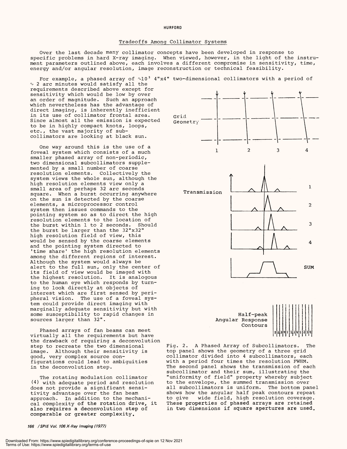#### HURFORD **HURFORD**

#### Tradeoffs Among Collimator Systems Tradeoffs Among Collimator Systems

Over the last decade many collimator concepts have been developed in response to Over the last decade many collimator concepts have been developed in response to specific problems in hard X -ray imaging. When viewed, however, in the light of the instru-specific problems in hard X-ray imaging. When viewed, however, in the light of the instrument parameters outlined above, each involves a different compromise in sensitivity, time, ment parameters outlined above, each involves a different compromise in sensitivity, time, energy and /or angular resolution, image reconstruction or technical feasibility. energy and/or angular resolution, image reconstruction or technical feasibility.

For example, a phased array of  $\sim\!\!10^{\,3}$  4"x4" two-dimensional collimators with a period of  $\scriptstyle\rm\sim$  2 arc minutes would satisfy all the requirements described above except for requirements described above except for sensitivity which would be low by over sensitivity which would be low by over an order of magnitude. Such an approach an order of magnitude. Such an approach which nevertheless has the advantage of which nevertheless has the advantage of direct imaging, is inherently inefficient direct imaging, is inherently inefficient in its use of collimator frontal area. in its use of collimator frontal area. Since almost all the emission is expected Geome to be in highly compact knots, loops, to be in highly compact knots, loops, etc., the vast majority of subcollimators are looking at black sun. collimators are looking at black sun.

One way around this is the use of a One way around this is the use of <sup>a</sup> foveal system which consists of a much foveal system which consists of a much smaller phased array of non-periodic, two dimensional subcollimators supple-two dimensional subcollimators supplemented by a small number of coarse mented by a small number of coarse resolution elements. Collectively the resolution elements. Collectively the system views the whole sun, although the system views the whole sun, although the high resolution elements view only a high resolution elements view only <sup>a</sup> small area of perhaps 32 arc seconds small area of perhaps 32 arc seconds square. When a burst occurring anywhere square. When a burst occurring anywhere on the sun is detected by the coarse on the sun is detected by the coarse elements, a microprocessor control elements, a microprocessor control system then issues commands to the system then issues commands to the pointing system so as to direct the high pointing system so as to direct the high resolution elements to the location of resolution elements to the location of the burst within 1 to 2 seconds. Should the burst within 1 to 2 seconds. Should the burst be larger than the 32 "x32" the burst be larger than the 32"x32" high resolution field of view, this high resolution field of view, this would be sensed by the coarse elements would be sensed by the coarse elements and the pointing system directed to time share' the high resolution elements among the different regions of interest. among the different regions of interest. Although the system would always be Although the system would always be alert to the full sun, only the center of its field of view would be imaged with the highest resolution. It is analogous the highest resolution. It is analogous to the human eye which responds by turn-to the human eye which responds by turning to look directly at objects of ing to look directly at objects of interest which are first sensed by peri-interest which are first sensed by peripheral vision. The use of a foveal sys-pheral vision. The use of a foveal system could provide direct imaging with tem could provide direct imaging with marginally adequate sensitivity but with marginally adequate sensitivity but with some susceptibility to rapid changes in some susceptibility to rapid changes in sources larger than 32 ". sources larger than 32". and the pointing system directed to time share' the high resolution elements alert to the full sun, only the center of its field of view would be imaged with

Phased arrays of fan beams can meet Phased arrays of fan beams can meet virtually all the requirements but have virtually all the requirements but have the drawback of requiring a deconvolution the drawback of requiring a deconvolution step to recreate the two dimensional step to recreate the two dimensional image. Although their sensitivity is image. Although their sensitivity is good, very complex source con-good, very complex source configurations could lead to ambiguities figurations could lead to ambiguities in the deconvolution step. in the deconvolution step.

The rotating modulation collimator The rotating modulation collimator (4) with adequate period and resolution (4) with adequate period and resolution does not provide a significant sensi-does not provide a significant sensitivity advantage over the fan beam tivity advantage over the fan beam approach. In addition to the mechani-approach. In addition to the mechanical complexity of the rotation drive, it These also requires a deconvolution step of also requires a deconvolution step of comparable or greater complexity. comparable or greater complexity.

166 /SP /E Vol. 106 X-Ray Imaging (1977) **166 /SPIE Vol. 106 X-Ray Imaging (1977)**





Fig. 2. A Phased Array of Subcollimators. The Fig. 2. A Phased Array of Subcollimators. The top panel shows the geometry of a three grid top panel shows the geometry of a three grid collimator divided into 4 subcollimators, each collimator divided into 4 subcollimators, each with a period four times the resolution FWHM. with a period four times the resolution FWHM. The second panel shows the transmission of each The second panel shows the transmission of each subcollimator and their sum, illustrating the subcollimator and their sum, illustrating the "uniformity of field" property whereby subject "uniformity of field" property whereby subject to the envelope, the summed transmission over to the envelope, the summed transmission over all subcollimators is uniform. The bottom panel all subcollimators is uniform. The bottom panel shows how the angular half peak contours repeat shows how the angular half peak contours repeat to give wide field, high resolution coverage. to give wide field, high resolution coverage. These properties of phased arrays are retained These properties of phased arrays are retained in two dimensions if square apertures are used. in two dimensions if square apertures are used.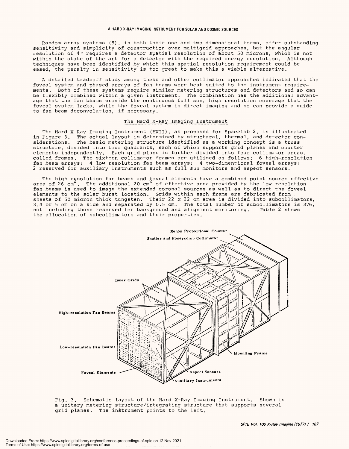Random array systems (5), in both their one and two dimensional forms, offer outstanding sensitivity and simplicity of construction over multigrid approaches, but the angular sensitivity and simplicity of construction over multigrid approaches,, but the angular resolution of 4" requires a detector spatial resolution of about 50 microns, which is not resolution of 4" requires a detector spatial resolution of about 50 microns,, which is not within the state of the art for a detector with the required energy resolution. Although within the state of the art for a detector with the required energy resolution. Although techniques have been identified by which this spatial resolution requirement could be techniques have been identified by which this spatial resolution requirement could be eased, the penalty in sensitivity is too great to make this a viable alternative.

A detailed tradeoff study among these and other collimator approaches indicated that the <sup>A</sup>detailed tradeoff study among these and other collimator approaches indicated that the foveal system and phased arrays of fan beams were best suited to the instrument require-foveal system and phased arrays of fan beams were best suited to the instrument requirements. Both of these systems require similar metering structures and detectors and so can ments. Both of these systems require similar metering structures and detectors and so can be flexibly combined within a given instrument. The combination has the additional advant-be flexibly combined within a given instrument. The combination has the additional advantage that the fan beams provide the continuous full sun, high resolution coverage that the age that the fan beams provide the continuous full sun,, high resolution coverage that the foveal system lacks, while the foveal system is direct imaging and so can provide a guide foveal system lacks,, while the foveal system is direct imaging and so can provide a guide to fan beam deconvolution, if necessary. to fan beam deconvolution,, if necessary.

#### The Hard X-Ray Imaging Instrument

The Hard X-Ray Imaging Instrument (HXII), as proposed for Spacelab 2, is illustrated in Figure 3. The actual layout is determined by structural, thermal, and detector con-in Figure 3. The actual layout is determined by structural., thermal,, and detector considerations. The basic metering structure identified as a working concept is a truss siderations. The basic metering structure identified as <sup>a</sup>working concept is a truss structure, divided into four quadrants, each of which supports grid planes and counter elements independently. Each grid plane is further divided into four collimator areas, elements independently. Each grid plane is further divided into four collimator areas, called frames. The sixteen collimator frames are utilized as follows: 6 high-resolution fan beam arrays; 4 low resolution fan beam arrays; 4 two-dimentional foveal arrays; 2 reserved for auxiliary instruments such as full sun monitors and aspect sensors. 2 reserved for auxiliary instruments such as full sun monitors and aspect sensors.

The high r $\mathsf{g}$ solution fan beams and  $\mathfrak f$ oveal elements have a combined point source effective area of 26 cm  $\tilde{c}$  . The additional 20 cm  $\tilde{c}$  of effective area provided by the low resolution fan beams is used to image the extended coronal sources as well as to direct the foveal fan beams is used to image the extended coronal sources as well as to direct the foveal elements to the solar burst location. Grids within each frame are fabricated from sheets of 50 micron thick tungsten. Their 22 x 22 cm area is divided into subcollimators, 3.4 or 5 cm on a side and separated by 0.5 cm. The total number of subcollimators is 376, 3.4 or 5 cm on a side and separated by 0.5 cm. The total number of subcollimators is 376,, not including those reserved for background and alignment monitoring. Table 2 shows not including those reserved for background and alignment monitoring. Table 2 shows the allocation of subcollimators and their properties. the allocation of subcollimators and their properties. The high r $\mathsf{g}$ solution fan beams and  $\mathfrak f$ oveal elements have a combined point source effective area of 26 cm  $\ldots$  The additional 20 cm of effective area provided by the low resolution elements to the solar burst location. Grids within each frame are fabricated from sheets of 50 micron thick tungsten. Their 22 x 22 cm area is divided into subcollimators,,



Fig. 3. Schematic layout of the Hard X -Ray Imaging Instrument. Shown is Fig. 3. Schematic layout of the Hard X-Ray Imaging Instrument. Shown is a unitary metering structure /integrating structure that supports several <sup>a</sup>unitary metering structure/integrating structure that supports several grid planes. The instrument points to the left. grid planes. The instrument points to the left.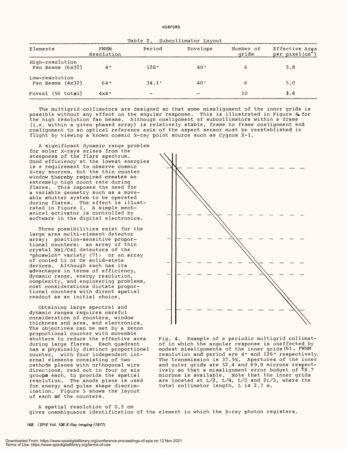Table 2. Subcollimator Layout Table 2. Subcollimator Layout

| Elements                             | FWHM<br>Resolution | Period                   | Envelope | Number of<br>grids | Effective Area<br>per pixel(cm <sup>-</sup> ) |
|--------------------------------------|--------------------|--------------------------|----------|--------------------|-----------------------------------------------|
| High-resolution<br>Fan Beams (6x32)  | 4 "                | 128"                     | 40'      | 6                  | 3.8                                           |
| Low-resolution<br>Fan Beams $(4x32)$ | 64"                | 34.1'                    | 40'      | 6                  | 5.0                                           |
| Foveal (56 total)                    | $4x4$ "            | $\overline{\phantom{0}}$ |          | 10                 | 3.4                                           |

The multigrid collimators are designed so that some misalignment of the inner grids is The multigrid collimators are designed so that some misalignment of the inner grids is possible without any effect on the angular response. This is illustrated in Figure  $4$  for the high resolution fan beams. Although coalignment of subcollimators within a frame the high resolution fan beams. Although coalignment of subcollimators within a frame (i.e. within a given phased array) is relatively stable, frame to frame coalignment and (i.e. within a given phased array) is relatively stable, frame to frame coalignment and coalignment to an optical reference axis of the aspect sensor must be reestablished in coalignment to an optical reference axis of the aspect sensor must be reestablished in flight by viewing a known cosmic X-ray point source such as Cygnus X-l.

A significant dynamic range problem <sup>A</sup>significant dynamic range problem for solar X-rays arises from the steepness of the flare spectrum. steepness of the flare spectrum. Good efficiency at the lowest energies Good efficiency at the lowest energies is a requirement to observe cosmic is a requirement to observe cosmic X -ray sources. but the thin counter X-ray sources, but the thin counter window thereby required creates an window thereby required creates an extremely high count rate during extremely high count rate during flares. This imposes the need for flares. This imposes the need for a variable geometry such as a move-a variable geometry such as a moveable shutter system to be operated able shutter system to be operated during flares. The effect is illust-during flares. The effect is illustrated in Figure 1. A simple mech-rated in Figure 1. A simple mechanical activator is controlled by anical activator is controlled by software in the digital electronics. software in the digital electronics.

Three possibilities exist for the Three possibilities exist for the large area multi -element detector large area multi-element detector array: position- sensitive propor-array: position-sensitive proportional counters; an array of thin tional counters; an array of thin crystal NaI /CsI detectors of the crystal Nal/CsI detectors of the "phoswich" variety (7); or an array "phoswich" variety (7); or an array of cooled Li or Ge solid-state devices. Although each has its devices. Although each has its advantages in terms of efficiency, advantages in terms of efficiency., dynamic range, energy resolution, dynamic range,, energy resolution,, complexity, and engineering problems, complexity,, and engineering problems,, cost considerations dictate propor-cost considerations dictate proportional counters with direct spatial tional counters with direct spatial readout as an initial choice. readout as an initial choice.

Obtaining large spectral and Obtaining large spectral and dynamic ranges requires careful dynamic ranges requires careful consideration of counters, window consideration of counters,, window thickness and area, and electronics. thickness and area,, and electronics. The objectives can be met by a Xenon The objectives can be met by a Xenon proportional counter with moveable proportional counter with moveable shutters to reduce the effective area shutters to reduce the effective area during large flares. Each quadrant during large flares. Each quadrant has a physically distinct proportional has a physically distinct proportional counter, with four independent int-counter,, with four independent internal elements consisting of two ernal elements consisting of two cathode planes with orthogonal wire cathode planes with orthogonal wire directions, read out in four or six directions, read out in four or six groups each, to provide the spatial mic resolution. The anode plane is used for energy and pulse shape discrim-for energy and pulse shape discrimination. Figure 5 shows the layout ination. Figure 5 shows the layout of each of the counters. of each of the counters. groups each, to provide the spatial resolution. The anode plane is used



Fig. 4. Example of a periodic multigrid collimat-Fig. 4. Example of a periodic multigrid collimatof in which the angular response is unaffected by of in which the angular response is unaffected by modest misalignments of the inner grids(6). FWHM modest misalignments of the inner grids (6) . FWHM resolution and period are 4" and 128" respectively. resolution and period are 4" and 128" respectively. The transmission is 37.5%. Apertures of the inner and outer grids are 52.4 and 69.8 microns respect-and outer grids are 52.4 and 69.8 microns respectively so that a misalignment error budget of  $\texttt{^\pm8.7}$ microns is available. Note that the inner grids microns is available. Note that the inner grids are located at L/2, L/4, L/3 and 2L/3, where the total collimator length, L is 2.7 m. are located at L/2, L/4, L/3 and 2L/3, where the total collimator length, L is 2.7 m.

A spatial resolution of 0.5 cm <sup>A</sup>spatial resolution of 0.5 cm gives unambiguaous identification of the element in which the X-ray photon registers.

168 /SPIE Vol. 106 X-Ray Imaging (1977) **168 /SPIE Vol. 106X-Ray Imaging (1977)**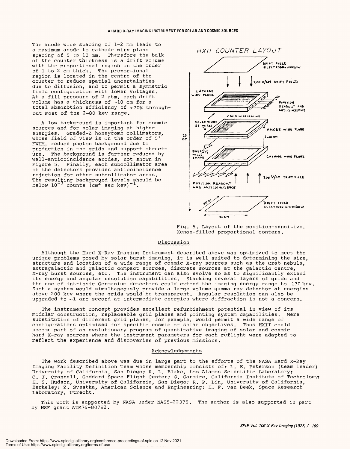The anode wire spacing of 1 -2 mm leads to The anode wire spacing of 1-2 mm leads to a maximum anode -to- cathode wire plane a maximum anode-to-cathode wire plane spacing of 5 to 10 mm. Therefore the bulk spacing of 5 to 10 mm. Therefore the bulk of the counter thickness is a drift volume of the counter thickness is a drift volume with the proportional region on the order with the proportional region on the order of 1 to 2 cm thick. The proportional of 1 to 2 cm thick. The proportional region is located in the centre of the region is located in the centre of the counter to reduce spatial uncertainties counter to reduce spatial uncertainties due to diffusion, and to permit a symmetric due to diffusion, and to permit a symmetric field configuration with lower voltages. field configuration with lower voltages. At a fill pressure of 2 atm, each drift At a fill pressure of 2 atm, each drift volume has a thickness of  $\sim\!\!10$  cm for a total absorbtion efficiency of >70% through-total absorbtion efficiency of >70% throughout most of the 2 -80 kev range. out most of the 2-80 kev range.

A low background is important for cosmic A low background is important for cosmic sources and for solar imaging at higher sources and for solar imaging at higher energies. Graded-Z honeycomb collimators,  $\begin{bmatrix} 0 & 1 \end{bmatrix}$ whose field of view is on the order of  $5^\circ$   $\ddot{\tilde{c}}$ FWHM, reduce photon background due to FWHM, reduce photon background due to production in the grids and support struct-production in the grids and support struct- $\hbox{\tt ure.}$  The background is further reduced by  $|\hbox{\tt c}|\,$ wall -anticoincidence anodes, not shown in wall-anticoincidence anodes,, not shown in Figure 5. Finally, each subcollimator area Figure 5. Finally, each subcollimator area of the detectors provides anticoincidence of the detectors provides anticoincidence rejection for other subcollimator areas. rejection for other subcollimator areas. The resulting background levels should be below  $10^{-3}$  counts (cm<sup>2</sup> sec kev) $^{-1}$ . The resulţing background levels should be below  $10^{-3}$  counts (cm<sup>2</sup> sec kev)<sup>-1</sup>.



Fig. 5. Layout of the position- sensitive, Fig. 5. Layout of the position-sensitive, Xenon -filled proportional conters. Xenon-filled proportional centers.

#### Discussion Discussion

Although the Hard X -Ray Imaging Instrument described above was optimized to meet the Although the Hard X-Ray Imaging Instrument described above was optimized to meet the unique problems posed by solar burst imaging, it is well suited to determining the size, unique problems posed by solar burst imaging, it is well suited to determining the size, structure and location of a wide range of cosmic X -ray sources such as the Crab nebula, structure and location of a wide range of cosmic X-ray sources such as the Crab nebula, extragalactic and galactic compact sources, discrete sources at the galactic centre, extragalactic and galactic compact sources, discrete sources at the galactic centre, X -ray burst sources, etc. The instrument can also evolve so as to significantly extend X-ray burst sources, etc. The instrument can also evolve so as to significantly extend its energy and angular resolution capabilities. Stacking several layers of grids and the use of intrinsic Germanium detectors could extend the imaging energy range to 130 kev. Such a system would simultaneously provide a large volume gamma ray detector at energies Such a system would simultaneously provide a large volume gamma ray detector at energies above 200 kev where the grids would be transparent. Angular resolution can also be above 200 kev where the grids would be transparent. Angular resolution can also be upgraded to  $\sim\!\!1$  arc second at intermediate energies where diffraction is not a concern. its energy and angular resolution capabilities. Stacking several layers of grids and the use of intrinsic Germanium detectors could extend the imaging energy range to 130 kev.

The instrument concept provides excellent refurbishment potential in view of its The instrument concept provides excellent refurbishment potential in view of its modular construction, replaceable grid planes and pointing system capabilities. Mere substitution of different grid planes, for example, would permit a wide range of configurations optimized for specific cosmic or solar objectives. Thus HXII could configurations optimized for specific cosmic or solar objectives. Thus HXII could become part of an evolutionary program of quantitative imaging of solar and cosmic hard X -ray sources where the instrument parameters for each reflight were adapted to reflect the experience and discoveries of previous missions. reflect the experience and discoveries of previous missions. modular construction, replaceable grid planes and pointing system capabilities. Mere substitution of different grid planes, for example, would permit a wide range of become part of an evolutionary program of quantitative imaging of solar and cosmic hard X-ray sources where the instrument parameters for each reflight were adapted to

#### Acknowledgements Acknowledgements

The work described above was due in large part to the efforts of the NASA Hard X -Ray The work described above was due in large part to the efforts of the NASA Hard X-Ray Imaging Facility Definition Team whose membership consists of: L. E. Peterson (team leader), University of California, San Diego; R. L. Blake, Los Alamos Scientific Laboratory; C. J. Crannell, Goddard Space Flight Center; G. Garmire, California Institute of Technology; H. S. Hudson, University of California, San Diego; R. P. Lin, University of California, H. S. Hudson, University of California, San Diego; R. P. Lin, University of California, Berkeley; Z. Svestka, American Science and Engineering; H. F. van Beek, Space Research Berkeley; Z. Svestka, American Science and Engineering; H. F. van Beek, Space Research Laboratory, Utrecht. Laboratory, Utrecht. University of California, San Diego; R. L. Blake, Los Alamos Scientific Laboratory; C. J. Crannell, Goddard Space Flight Center; G. Garmire, California Institute of Technology;

This work is supported by NASA under NAS5-22375. The author is also supported in part by NSF grant ATM76- 80782. by NSF grant ATM76-80782.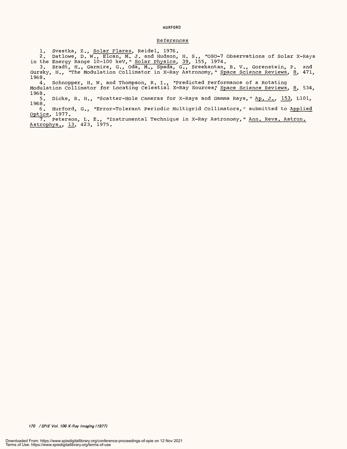#### HURFORD **HURFORD**

#### References References

1. Svestka, Z., Solar Flares, Reidel, 1976. 1. Svestka, Z., Solar Flares, Reidel, 1976.

2. Datlowe, D. W., Elcan, M. J. and Hudson, H. S., "OS0-7 Observations of Solar X -Rays in the Energy Range 10-100 keV," <u>Solar Physics</u>, <u>39</u>, 155, 1974. 2. Datlowe, D. W., Elcan, M. J. and Hudson,, H. S., "OSO-7 Observations of Solar X-Rays in the Energy Range 10-100 keV," Solar Physics, 39, 155, 1974.

3. Bradt, H., Garmire, G., Oda, M., Spada, G., Sreekantan, B. V., Gorenstein, P. and Gursky, H., "The Modulation Collimator in X-Ray Astronomy," Space Science Reviews, 8, 471, 1968. 3. Bradt, H., Garmire, G., Oda, M., Spada, G., Sreekantan, B. V.\_, Gorenstein, P. and Gursky, H., "The Modulation Collimator in X-Ray Astronomy," Space Science Reviews, 8, 471, 1968.

4. Schnopper, H. W. and Thompson, R. I., "Predicted Performance of a Rotating Modulation Collimator for Locating Celestial X-Ray Sources, Space Science Reviews, 8, 534, 1968 1968. 4. Schnopper, H. W. and Thompson, R. I., "Predicted Performance of a Rotating Modulation Collimator for Locating Celestial X-Ray Sources," Space Science Reviews, 8, 534,

5. Dicke, R. H., "Scatter-Hole Cameras for X-Rays and Gamma Rays," <u>Ap. J.</u>, <u>153</u>, LlOl, 1968. 1968.

6. Hurford, G., "Error-Tolerant Periodic Multigrid Collimators," submitted to <u>Applied</u> Optics, 1977. Optics, 1977.

7. Peterson, L. E., "Instrumental Technique in X -Ray Astronomy," Ann. Revs. Astron. 7. Peterson, L. E., "Instrumental Technique in X-Ray Astronomy," Ann. Revs. Astron. Astrophys., 13, 423, 1975. Astrophys., 13, 423, 1975.